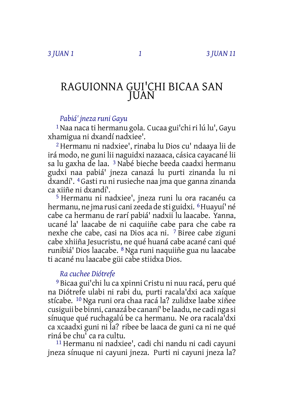# RAGUIONNA GUI'CHI BICAA SAN JUAN

### *Pabiá' jneza runi Gayu*

<sup>1</sup> Naa naca ti hermanu gola. Cucaa gui'chi ri lú lu', Gayu xhamigua ni dxandí nadxiee'.

2 Hermanu ni nadxiee', rinaba lu Dios cu' ndaaya lii de irá modo, ne guni lii naguidxi nazaaca, cásica cayacané lii sa lu gaxha de laa. 3 Nabé bieche beeda caadxi hermanu gudxi naa pabiá' jneza canazá lu purti zinanda lu ni dxandí'. 4 Gasti ru ni rusieche naa jma que ganna zinanda ca xiiñe ni dxandí'.

5 Hermanu ni nadxiee', jneza runi lu ora racanéu ca hermanu, ne jma rusi cani zeeda de sti guidxi. 6Huayuí' né cabe ca hermanu de rarí pabiá' nadxii lu laacabe. Yanna, ucané la' laacabe de ni caquiiñe cabe para che cabe ra nexhe che cabe, casi na Dios aca ni. 7 Biree cabe ziguni cabe xhiiña Jesucristu, ne qué huaná cabe acané cani qué runibiá' Dios laacabe. 8 Nga runi naquiiñe gua nu laacabe ti acané nu laacabe güi cabe stiidxa Dios.

## *Ra cuchee Diótrefe*

9 Bicaa gui'chi lu ca xpinni Cristu ni nuu racá, peru qué na Diótrefe ulabi ni rabi du, purti racala'dxi aca xaíque stícabe. 10 Nga runi ora chaa racá la? zulidxe laabe xiñee cusiguii be binni, canazá be cananí' be laadu, ne cadi nga si sínuque qué ruchagalú be ca hermanu. Ne ora racala'dxi ca xcaadxi guni ni la? ribee be laaca de guni ca ni ne qué riná be chu' ca ra cultu.

11 Hermanu ni nadxiee', cadi chi nandu ni cadi cayuni jneza sínuque ni cayuni jneza. Purti ni cayuni jneza la?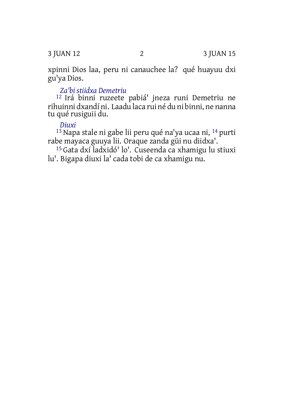3 JUAN 12 2 3 JUAN 15

xpinni Dios laa, peru ni canauchee la? qué huayuu dxi gu'ya Dios.

### *Za'bi stiidxa Demetriu*

12 Irá binni ruzeete pabiá' jneza runi Demetriu ne rihuinni dxandí ni. Laadu laca rui né du ni binni, ne nanna tu qué rusiguii du.

#### *Diuxi*

13 Napa stale ni gabe lii peru qué na'ya ucaa ni, 14 purti rabe mayaca guuya lii. Oraque zanda güi nu diidxa'.

15 Gata dxí ladxidó' lo'. Cuseenda ca xhamigu lu stiuxi lu'. Bigapa diuxi la' cada tobi de ca xhamigu nu.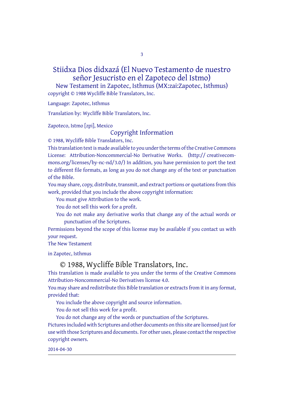3

Stiidxa Dios didxazá (El Nuevo Testamento de nuestro señor Jesucristo en el Zapoteco del Istmo) New Testament in Zapotec, Isthmus (MX:zai:Zapotec, Isthmus)

copyright © 1988 Wycliffe Bible Translators, Inc.

Language: Zapotec, Isthmus

Translation by: Wycliffe Bible Translators, Inc.

Zapoteco, Istmo [zpi], Mexico

Copyright Information

© 1988, Wycliffe Bible Translators, Inc.

This translation text is made available to you under the terms of the Creative Commons License: Attribution-Noncommercial-No Derivative Works. (http:// creativecommons.org/licenses/by-nc-nd/3.0/) In addition, you have permission to port the text to different file formats, as long as you do not change any of the text or punctuation of the Bible.

You may share, copy, distribute, transmit, and extract portions or quotations from this work, provided that you include the above copyright information:

You must give Attribution to the work.

You do not sell this work for a profit.

You do not make any derivative works that change any of the actual words or punctuation of the Scriptures.

Permissions beyond the scope of this license may be available if you contact us with your request.

The New Testament

in Zapotec, Isthmus

#### © 1988, Wycliffe Bible Translators, Inc.

This translation is made available to you under the terms of the Creative Commons Attribution-Noncommercial-No Derivatives license 4.0.

You may share and redistribute this Bible translation or extracts from it in any format, provided that:

You include the above copyright and source information.

You do not sell this work for a profit.

You do not change any of the words or punctuation of the Scriptures. Pictures included with Scriptures and other documents on this site are licensed just for use with those Scriptures and documents. For other uses, please contact the respective copyright owners.

2014-04-30